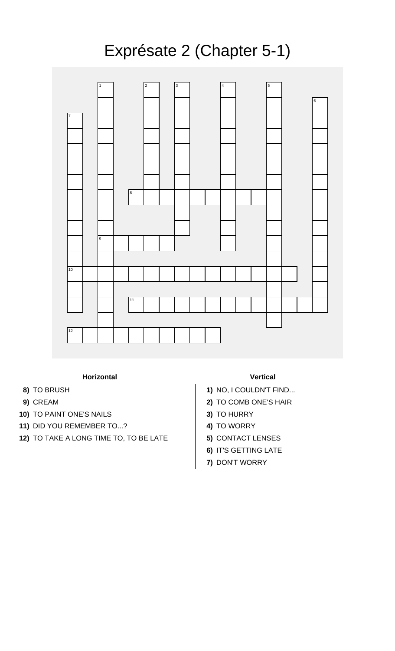## Exprésate 2 (Chapter 5-1)



## **Horizontal Vertical**

- 
- 
- **10)** TO PAINT ONE'S NAILS **3)** TO HURRY
- 11) DID YOU REMEMBER TO...? **4)** TO WORRY
- **12)** TO TAKE A LONG TIME TO, TO BE LATE **5)** CONTACT LENSES

- **8)** TO BRUSH **1)** NO, I COULDN'T FIND...
- **9)** CREAM **2)** TO COMB ONE'S HAIR
	-
	-
	-
	- **6)** IT'S GETTING LATE
	- **7)** DON'T WORRY